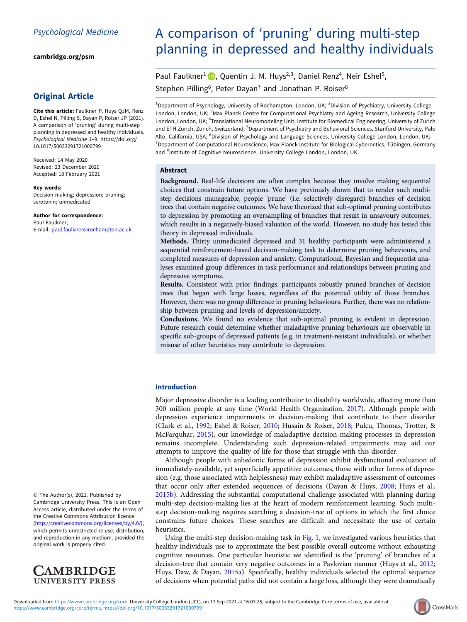[cambridge.org/psm](https://www.cambridge.org/psm)

# Original Article

Cite this article: Faulkner P, Huys QJM, Renz D, Eshel N, Pilling S, Dayan P, Roiser JP (2021). A comparison of 'pruning' during multi-step planning in depressed and healthy individuals. Psychological Medicine 1–9. [https://doi.org/](https://doi.org/10.1017/S0033291721000799) [10.1017/S0033291721000799](https://doi.org/10.1017/S0033291721000799)

Received: 14 May 2020 Revised: 23 December 2020 Accepted: 18 February 2021

Key words: Decision-making; depression; pruning; serotonin; unmedicated

#### Author for correspondence:

Paul Faulkner, E-mail: [paul.faulkner@roehampton.ac.uk](mailto:paul.faulkner@roehampton.ac.uk)

## © The Author(s), 2021. Published by Cambridge University Press. This is an Open Access article, distributed under the terms of the Creative Commons Attribution licence ([http://creativecommons.org/licenses/by/4.0/\)](http://creativecommons.org/licenses/by/4.0/),

which permits unrestricted re-use, distribution, and reproduction in any medium, provided the original work is properly cited.



# A comparison of 'pruning' during multi-step planning in depressed and healthy individuals

Paul Faulkner<sup>1</sup> **D**[,](https://orcid.org/0000-0003-4475-3568) Quentin J. M. Huys<sup>2,3</sup>, Daniel Renz<sup>4</sup>, Neir Eshel<sup>5</sup>, Stephen Pilling<sup>6</sup>, Peter Dayan<sup>7</sup> and Jonathan P. Roiser<sup>8</sup>

<sup>1</sup>Department of Psychology, University of Roehampton, London, UK; <sup>2</sup>Division of Psychiatry, University College London, London, UK; <sup>3</sup>Max Planck Centre for Computational Psychiatry and Ageing Research, University College London, London, UK; <sup>4</sup>Translational Neuromodeling Unit, Institute for Biomedical Engineering, University of Zurich and ETH Zurich, Zurich, Switzerland; <sup>5</sup>Department of Psychiatry and Behavioral Sciences, Stanford University, Palo Alto, California, USA; <sup>6</sup>Division of Psychology and Language Sciences, University College London, London, UK<sub>;</sub> 7 Department of Computational Neuroscience, Max Planck Institute for Biological Cybernetics, Tübingen, Germany and <sup>8</sup>Institute of Cognitive Neuroscience, University College London, London, UK

## Abstract

Background. Real-life decisions are often complex because they involve making sequential choices that constrain future options. We have previously shown that to render such multistep decisions manageable, people 'prune' (i.e. selectively disregard) branches of decision trees that contain negative outcomes. We have theorized that sub-optimal pruning contributes to depression by promoting an oversampling of branches that result in unsavoury outcomes, which results in a negatively-biased valuation of the world. However, no study has tested this theory in depressed individuals.

Methods. Thirty unmedicated depressed and 31 healthy participants were administered a sequential reinforcement-based decision-making task to determine pruning behaviours, and completed measures of depression and anxiety. Computational, Bayesian and frequentist analyses examined group differences in task performance and relationships between pruning and depressive symptoms.

Results. Consistent with prior findings, participants robustly pruned branches of decision trees that began with large losses, regardless of the potential utility of those branches. However, there was no group difference in pruning behaviours. Further, there was no relationship between pruning and levels of depression/anxiety.

Conclusions. We found no evidence that sub-optimal pruning is evident in depression. Future research could determine whether maladaptive pruning behaviours are observable in specific sub-groups of depressed patients (e.g. in treatment-resistant individuals), or whether misuse of other heuristics may contribute to depression.

## Introduction

Major depressive disorder is a leading contributor to disability worldwide, affecting more than 300 million people at any time (World Health Organization, [2017\)](#page-8-0). Although people with depression experience impairments in decision-making that contribute to their disorder (Clark et al., [1992](#page-7-0); Eshel & Roiser, [2010](#page-8-0); Husain & Roiser, [2018;](#page-8-0) Pulcu, Thomas, Trotter, & McFarquhar, [2015](#page-8-0)), our knowledge of maladaptive decision-making processes in depression remains incomplete. Understanding such depression-related impairments may aid our attempts to improve the quality of life for those that struggle with this disorder.

Although people with anhedonic forms of depression exhibit dysfunctional evaluation of immediately-available, yet superficially appetitive outcomes, those with other forms of depression (e.g. those associated with helplessness) may exhibit maladaptive assessment of outcomes that occur only after extended sequences of decisions (Dayan & Huys, [2008](#page-8-0); Huys et al., [2015b](#page-8-0)). Addressing the substantial computational challenge associated with planning during multi-step decision-making lies at the heart of modern reinforcement learning. Such multistep decision-making requires searching a decision-tree of options in which the first choice constrains future choices. These searches are difficult and necessitate the use of certain heuristics.

Using the multi-step decision-making task in [Fig. 1,](#page-1-0) we investigated various heuristics that healthy individuals use to approximate the best possible overall outcome without exhausting cognitive resources. One particular heuristic we identified is the 'pruning' of branches of a decision-tree that contain very negative outcomes in a Pavlovian manner (Huys et al., [2012](#page-8-0); Huys, Daw, & Dayan, [2015a](#page-8-0)). Specifically, healthy individuals selected the optimal sequence of decisions when potential paths did not contain a large loss, although they were dramatically

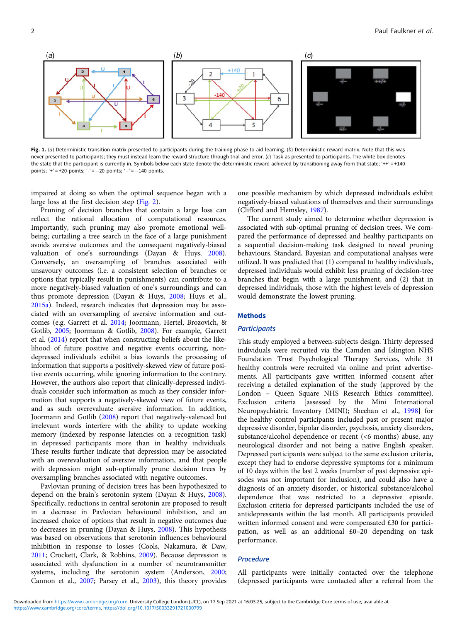<span id="page-1-0"></span>

Fig. 1. (a) Deterministic transition matrix presented to participants during the training phase to aid learning. (b) Deterministic reward matrix. Note that this was never presented to participants; they must instead learn the reward structure through trial and error. (c) Task as presented to participants. The white box denotes the state that the participant is currently in. Symbols below each state denote the deterministic reward achieved by transitioning away from that state; '++' = +140 points;  $4i = +20$  points;  $4i = -20$  points;  $4i = -140$  points.

impaired at doing so when the optimal sequence began with a large loss at the first decision step [\(Fig. 2\)](#page-2-0).

Pruning of decision branches that contain a large loss can reflect the rational allocation of computational resources. Importantly, such pruning may also promote emotional wellbeing; curtailing a tree search in the face of a large punishment avoids aversive outcomes and the consequent negatively-biased valuation of one's surroundings (Dayan & Huys, [2008\)](#page-8-0). Conversely, an oversampling of branches associated with unsavoury outcomes (i.e. a consistent selection of branches or options that typically result in punishments) can contribute to a more negatively-biased valuation of one's surroundings and can thus promote depression (Dayan & Huys, [2008](#page-8-0); Huys et al., [2015a](#page-8-0)). Indeed, research indicates that depression may be associated with an oversampling of aversive information and outcomes (e.g. Garrett et al. [2014](#page-8-0); Joormann, Hertel, Brozovich, & Gotlib, [2005](#page-8-0); Joormann & Gotlib, [2008](#page-8-0)). For example, Garrett et al. [\(2014\)](#page-8-0) report that when constructing beliefs about the likelihood of future positive and negative events occurring, nondepressed individuals exhibit a bias towards the processing of information that supports a positively-skewed view of future positive events occurring, while ignoring information to the contrary. However, the authors also report that clinically-depressed individuals consider such information as much as they consider information that supports a negatively-skewed view of future events, and as such overevaluate aversive information. In addition, Joormann and Gotlib ([2008\)](#page-8-0) report that negatively-valenced but irrelevant words interfere with the ability to update working memory (indexed by response latencies on a recognition task) in depressed participants more than in healthy individuals. These results further indicate that depression may be associated with an overevaluation of aversive information, and that people with depression might sub-optimally prune decision trees by oversampling branches associated with negative outcomes.

Pavlovian pruning of decision trees has been hypothesized to depend on the brain's serotonin system (Dayan & Huys, [2008\)](#page-8-0). Specifically, reductions in central serotonin are proposed to result in a decrease in Pavlovian behavioural inhibition, and an increased choice of options that result in negative outcomes due to decreases in pruning (Dayan & Huys, [2008\)](#page-8-0). This hypothesis was based on observations that serotonin influences behavioural inhibition in response to losses (Cools, Nakamura, & Daw, [2011;](#page-8-0) Crockett, Clark, & Robbins, [2009](#page-8-0)). Because depression is associated with dysfunction in a number of neurotransmitter systems, including the serotonin system (Anderson, [2000](#page-7-0); Cannon et al., [2007;](#page-7-0) Parsey et al., [2003\)](#page-8-0), this theory provides

one possible mechanism by which depressed individuals exhibit negatively-biased valuations of themselves and their surroundings (Clifford and Hemsley, [1987](#page-8-0)).

The current study aimed to determine whether depression is associated with sub-optimal pruning of decision trees. We compared the performance of depressed and healthy participants on a sequential decision-making task designed to reveal pruning behaviours. Standard, Bayesian and computational analyses were utilized. It was predicted that (1) compared to healthy individuals, depressed individuals would exhibit less pruning of decision-tree branches that begin with a large punishment, and (2) that in depressed individuals, those with the highest levels of depression would demonstrate the lowest pruning.

## Methods

#### **Participants**

This study employed a between-subjects design. Thirty depressed individuals were recruited via the Camden and Islington NHS Foundation Trust Psychological Therapy Services, while 31 healthy controls were recruited via online and print advertisements. All participants gave written informed consent after receiving a detailed explanation of the study (approved by the London – Queen Square NHS Research Ethics committee). Exclusion criteria [assessed by the Mini International Neuropsychiatric Inventory (MINI); Sheehan et al., [1998](#page-8-0)] for the healthy control participants included past or present major depressive disorder, bipolar disorder, psychosis, anxiety disorders, substance/alcohol dependence or recent (<6 months) abuse, any neurological disorder and not being a native English speaker. Depressed participants were subject to the same exclusion criteria, except they had to endorse depressive symptoms for a minimum of 10 days within the last 2 weeks (number of past depressive episodes was not important for inclusion), and could also have a diagnosis of an anxiety disorder, or historical substance/alcohol dependence that was restricted to a depressive episode. Exclusion criteria for depressed participants included the use of antidepressants within the last month. All participants provided written informed consent and were compensated £30 for participation, as well as an additional £0–20 depending on task performance.

## Procedure

All participants were initially contacted over the telephone (depressed participants were contacted after a referral from the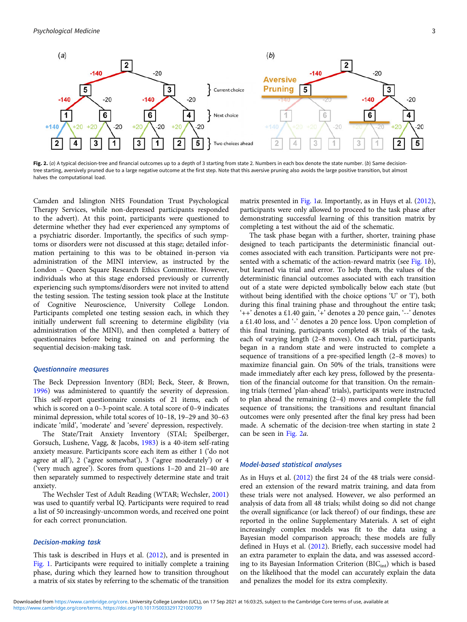<span id="page-2-0"></span>

Fig. 2. (a) A typical decision-tree and financial outcomes up to a depth of 3 starting from state 2. Numbers in each box denote the state number. (b) Same decisiontree starting, aversively pruned due to a large negative outcome at the first step. Note that this aversive pruning also avoids the large positive transition, but almost halves the computational load.

Camden and Islington NHS Foundation Trust Psychological Therapy Services, while non-depressed participants responded to the advert). At this point, participants were questioned to determine whether they had ever experienced any symptoms of a psychiatric disorder. Importantly, the specifics of such symptoms or disorders were not discussed at this stage; detailed information pertaining to this was to be obtained in-person via administration of the MINI interview, as instructed by the London – Queen Square Research Ethics Committee. However, individuals who at this stage endorsed previously or currently experiencing such symptoms/disorders were not invited to attend the testing session. The testing session took place at the Institute of Cognitive Neuroscience, University College London. Participants completed one testing session each, in which they initially underwent full screening to determine eligibility (via administration of the MINI), and then completed a battery of questionnaires before being trained on and performing the sequential decision-making task.

## Questionnaire measures

The Beck Depression Inventory (BDI; Beck, Steer, & Brown, [1996\)](#page-7-0) was administered to quantify the severity of depression. This self-report questionnaire consists of 21 items, each of which is scored on a 0–3-point scale. A total score of 0–9 indicates minimal depression, while total scores of 10–18, 19–29 and 30–63 indicate 'mild', 'moderate' and 'severe' depression, respectively.

The State/Trait Anxiety Inventory (STAI; Speilberger, Gorsuch, Lushene, Vagg, & Jacobs, [1983\)](#page-8-0) is a 40-item self-rating anxiety measure. Participants score each item as either 1 ('do not agree at all'), 2 ('agree somewhat'), 3 ('agree moderately') or 4 ('very much agree'). Scores from questions 1–20 and 21–40 are then separately summed to respectively determine state and trait anxiety.

The Wechsler Test of Adult Reading (WTAR; Wechsler, [2001\)](#page-8-0) was used to quantify verbal IQ. Participants were required to read a list of 50 increasingly-uncommon words, and received one point for each correct pronunciation.

## Decision-making task

This task is described in Huys et al. [\(2012](#page-8-0)), and is presented in [Fig. 1](#page-1-0). Participants were required to initially complete a training phase, during which they learned how to transition throughout a matrix of six states by referring to the schematic of the transition matrix presented in [Fig. 1](#page-1-0)*a*. Importantly, as in Huys et al. ([2012](#page-8-0)), participants were only allowed to proceed to the task phase after demonstrating successful learning of this transition matrix by completing a test without the aid of the schematic.

The task phase began with a further, shorter, training phase designed to teach participants the deterministic financial outcomes associated with each transition. Participants were not pre-sented with a schematic of the action-reward matrix (see [Fig. 1](#page-1-0)b), but learned via trial and error. To help them, the values of the deterministic financial outcomes associated with each transition out of a state were depicted symbolically below each state (but without being identified with the choice options 'U' or 'I'), both during this final training phase and throughout the entire task; '++' denotes a £1.40 gain, '+' denotes a 20 pence gain, '--' denotes a £1.40 loss, and '-' denotes a 20 pence loss. Upon completion of this final training, participants completed 48 trials of the task, each of varying length (2–8 moves). On each trial, participants began in a random state and were instructed to complete a sequence of transitions of a pre-specified length (2–8 moves) to maximize financial gain. On 50% of the trials, transitions were made immediately after each key press, followed by the presentation of the financial outcome for that transition. On the remaining trials (termed 'plan-ahead' trials), participants were instructed to plan ahead the remaining (2–4) moves and complete the full sequence of transitions; the transitions and resultant financial outcomes were only presented after the final key press had been made. A schematic of the decision-tree when starting in state 2 can be seen in Fig. 2a.

#### Model-based statistical analyses

As in Huys et al. ([2012\)](#page-8-0) the first 24 of the 48 trials were considered an extension of the reward matrix training, and data from these trials were not analysed. However, we also performed an analysis of data from all 48 trials; whilst doing so did not change the overall significance (or lack thereof) of our findings, these are reported in the online Supplementary Materials. A set of eight increasingly complex models was fit to the data using a Bayesian model comparison approach; these models are fully defined in Huys et al. [\(2012\)](#page-8-0). Briefly, each successive model had an extra parameter to explain the data, and was assessed according to its Bayesian Information Criterion (BIC<sub>int</sub>) which is based on the likelihood that the model can accurately explain the data and penalizes the model for its extra complexity.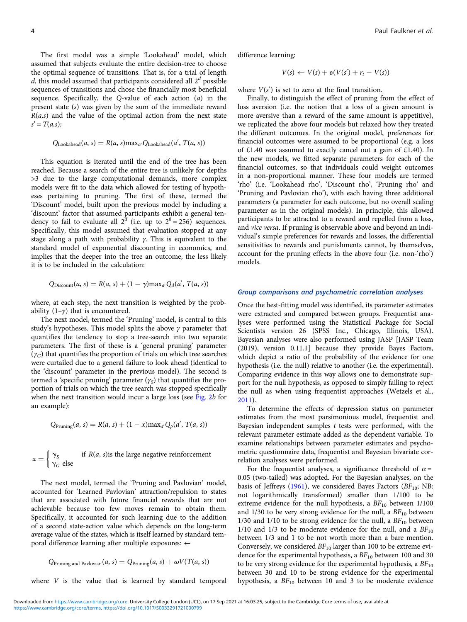The first model was a simple 'Lookahead' model, which assumed that subjects evaluate the entire decision-tree to choose the optimal sequence of transitions. That is, for a trial of length d, this model assumed that participants considered all  $2<sup>d</sup>$  possible sequences of transitions and chose the financially most beneficial sequence. Specifically, the Q-value of each action  $(a)$  in the present state (s) was given by the sum of the immediate reward  $R(a,s)$  and the value of the optimal action from the next state  $s' = T(a,s)$ :

$$
Q_{\text{Look ahead}}(a, s) = R(a, s) \max_{a'} Q_{\text{Look ahead}}(a', T(a, s))
$$

This equation is iterated until the end of the tree has been reached. Because a search of the entire tree is unlikely for depths >3 due to the large computational demands, more complex models were fit to the data which allowed for testing of hypotheses pertaining to pruning. The first of these, termed the 'Discount' model, built upon the previous model by including a 'discount' factor that assumed participants exhibit a general tendency to fail to evaluate all  $2^d$  (i.e. up to  $2^8 = 256$ ) sequences. Specifically, this model assumed that evaluation stopped at any stage along a path with probability  $\gamma$ . This is equivalent to the standard model of exponential discounting in economics, and implies that the deeper into the tree an outcome, the less likely it is to be included in the calculation:

$$
Q_{\text{Discount}}(a, s) = R(a, s) + (1 - \gamma) \max_{a'} Q_d(a', T(a, s))
$$

where, at each step, the next transition is weighted by the probability  $(1-\gamma)$  that is encountered.

The next model, termed the 'Pruning' model, is central to this study's hypotheses. This model splits the above  $\gamma$  parameter that quantifies the tendency to stop a tree-search into two separate parameters. The first of these is a 'general pruning' parameter  $(\gamma_G)$  that quantifies the proportion of trials on which tree searches were curtailed due to a general failure to look ahead (identical to the 'discount' parameter in the previous model). The second is termed a 'specific pruning' parameter  $(\gamma_s)$  that quantifies the proportion of trials on which the tree search was stopped specifically when the next transition would incur a large loss (see [Fig. 2](#page-2-0)b for an example):

$$
Q_{\text{Pruning}}(a, s) = R(a, s) + (1 - x) \max_{a'} Q_p(a', T(a, s))
$$

$$
x = \begin{cases} \gamma_S & \text{if } R(a, s) \text{is the large negative reinforcement} \\ \gamma_G & \text{else} \end{cases}
$$

The next model, termed the 'Pruning and Pavlovian' model, accounted for 'Learned Pavlovian' attraction/repulsion to states that are associated with future financial rewards that are not achievable because too few moves remain to obtain them. Specifically, it accounted for such learning due to the addition of a second state-action value which depends on the long-term average value of the states, which is itself learned by standard temporal difference learning after multiple exposures: ←

$$
Q_{\text{Pruning and Pavlovian}}(a, s) = Q_{\text{Pruning}}(a, s) + \omega V(T(a, s))
$$

where V is the value that is learned by standard temporal

difference learning:

$$
V(s) \leftarrow V(s) + \varepsilon (V(s') + r_t - V(s))
$$

where  $V(s')$  is set to zero at the final transition.

Finally, to distinguish the effect of pruning from the effect of loss aversion (i.e. the notion that a loss of a given amount is more aversive than a reward of the same amount is appetitive), we replicated the above four models but relaxed how they treated the different outcomes. In the original model, preferences for financial outcomes were assumed to be proportional (e.g. a loss of £1.40 was assumed to exactly cancel out a gain of £1.40). In the new models, we fitted separate parameters for each of the financial outcomes, so that individuals could weight outcomes in a non-proportional manner. These four models are termed 'rho' (i.e. 'Lookahead rho', 'Discount rho', 'Pruning rho' and 'Pruning and Pavlovian rho'), with each having three additional parameters (a parameter for each outcome, but no overall scaling parameter as in the original models). In principle, this allowed participants to be attracted to a reward and repelled from a loss, and vice versa. If pruning is observable above and beyond an individual's simple preferences for rewards and losses, the differential sensitivities to rewards and punishments cannot, by themselves, account for the pruning effects in the above four (i.e. non-'rho') models.

#### Group comparisons and psychometric correlation analyses

Once the best-fitting model was identified, its parameter estimates were extracted and compared between groups. Frequentist analyses were performed using the Statistical Package for Social Scientists version 26 (SPSS Inc., Chicago, Illinois, USA). Bayesian analyses were also performed using JASP [JASP Team (2019), version 0.11.1] because they provide Bayes Factors, which depict a ratio of the probability of the evidence for one hypothesis (i.e. the null) relative to another (i.e. the experimental). Comparing evidence in this way allows one to demonstrate support for the null hypothesis, as opposed to simply failing to reject the null as when using frequentist approaches (Wetzels et al., [2011\)](#page-8-0).

To determine the effects of depression status on parameter estimates from the most parsimonious model, frequentist and Bayesian independent samples  $t$  tests were performed, with the relevant parameter estimate added as the dependent variable. To examine relationships between parameter estimates and psychometric questionnaire data, frequentist and Bayesian bivariate correlation analyses were performed.

For the frequentist analyses, a significance threshold of  $\alpha$  = 0.05 (two-tailed) was adopted. For the Bayesian analyses, on the basis of Jeffreys ([1961\)](#page-8-0), we considered Bayes Factors ( $BF_{10}$ ; NB: not logarithmically transformed) smaller than 1/100 to be extreme evidence for the null hypothesis, a  $BF_{10}$  between 1/100 and 1/30 to be very strong evidence for the null, a  $BF_{10}$  between 1/30 and 1/10 to be strong evidence for the null, a  $BF_{10}$  between 1/10 and 1/3 to be moderate evidence for the null, and a  $BF_{10}$ between 1/3 and 1 to be not worth more than a bare mention. Conversely, we considered  $BF_{10}$  larger than 100 to be extreme evidence for the experimental hypothesis, a  $BF_{10}$  between 100 and 30 to be very strong evidence for the experimental hypothesis, a  $BF_{10}$ between 30 and 10 to be strong evidence for the experimental hypothesis, a  $BF_{10}$  between 10 and 3 to be moderate evidence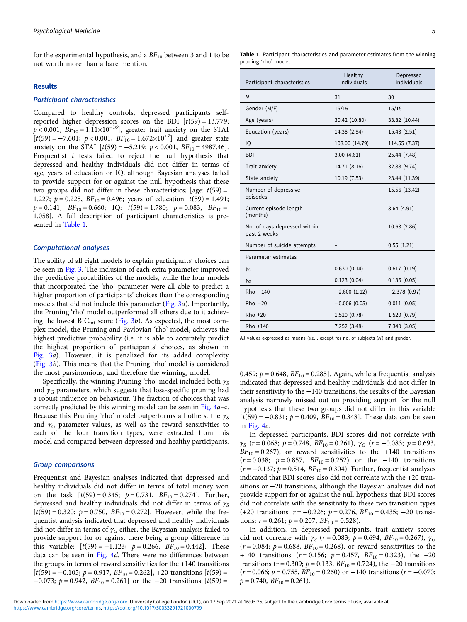for the experimental hypothesis, and a  $BF_{10}$  between 3 and 1 to be not worth more than a bare mention.

## Results

#### Participant characteristics

Compared to healthy controls, depressed participants selfreported higher depression scores on the BDI  $[t(59) = 13.779;$  $p < 0.001$ ,  $BF_{10} = 1.11 \times 10^{+16}$ , greater trait anxiety on the STAI  $[t(59) = -7.601; p < 0.001, BF_{10} = 1.672 \times 10^{+7}]$  and greater state anxiety on the STAI  $[t(59) = -5.219; p < 0.001, BF_{10} = 4987.46]$ . Frequentist  $t$  tests failed to reject the null hypothesis that depressed and healthy individuals did not differ in terms of age, years of education or IQ, although Bayesian analyses failed to provide support for or against the null hypothesis that these two groups did not differ in these characteristics; [age:  $t(59) =$ 1.227;  $p = 0.225$ ,  $BF_{10} = 0.496$ ; years of education:  $t(59) = 1.491$ ;  $p = 0.141$ ,  $BF_{10} = 0.660$ ; IQ:  $t(59) = 1.780$ ;  $p = 0.083$ ,  $BF_{10} =$ 1.058]. A full description of participant characteristics is presented in Table 1.

#### Computational analyses

The ability of all eight models to explain participants' choices can be seen in [Fig. 3](#page-5-0). The inclusion of each extra parameter improved the predictive probabilities of the models, while the four models that incorporated the 'rho' parameter were all able to predict a higher proportion of participants' choices than the corresponding models that did not include this parameter ([Fig. 3](#page-5-0)a). Importantly, the Pruning 'rho' model outperformed all others due to it achieving the lowest  $BIC<sub>int</sub> score (Fig. 3b)$  $BIC<sub>int</sub> score (Fig. 3b)$  $BIC<sub>int</sub> score (Fig. 3b)$ . As expected, the most complex model, the Pruning and Pavlovian 'rho' model, achieves the highest predictive probability (i.e. it is able to accurately predict the highest proportion of participants' choices, as shown in [Fig. 3](#page-5-0)a). However, it is penalized for its added complexity ([Fig. 3](#page-5-0)b). This means that the Pruning 'rho' model is considered the most parsimonious, and therefore the winning, model.

Specifically, the winning Pruning 'rho' model included both  $\gamma_S$ and  $\gamma_G$  parameters, which suggests that loss-specific pruning had a robust influence on behaviour. The fraction of choices that was correctly predicted by this winning model can be seen in [Fig. 4](#page-6-0)a–c. Because this Pruning 'rho' model outperforms all others, the  $\gamma_s$ and  $\gamma_G$  parameter values, as well as the reward sensitivities to each of the four transition types, were extracted from this model and compared between depressed and healthy participants.

## Group comparisons

Frequentist and Bayesian analyses indicated that depressed and healthy individuals did not differ in terms of total money won on the task  $[t(59) = 0.345; p = 0.731, BF_{10} = 0.274]$ . Further, depressed and healthy individuals did not differ in terms of  $\gamma_s$  $[t(59) = 0.320; p = 0.750, BF_{10} = 0.272]$ . However, while the frequentist analysis indicated that depressed and healthy individuals did not differ in terms of  $\gamma_G$  either, the Bayesian analysis failed to provide support for or against there being a group difference in this variable:  $[t(59) = -1.123; \ p = 0.266, BF_{10} = 0.442]$ . These data can be seen in [Fig. 4](#page-6-0)d. There were no differences between the groups in terms of reward sensitivities for the +140 transitions  $[t(59) = -0.105; p = 0.917, BF_{10} = 0.262]$ , +20 transitions  $[t(59) =$  $-0.073$ ;  $p = 0.942$ ,  $BF_{10} = 0.261$  or the  $-20$  transitions  $[t(59) =$ 

#### Table 1. Participant characteristics and parameter estimates from the winning pruning 'rho' model

| Participant characteristics                  | Healthy<br>individuals | Depressed<br>individuals |
|----------------------------------------------|------------------------|--------------------------|
| $\overline{N}$                               | 31                     | 30                       |
| Gender (M/F)                                 | 15/16                  | 15/15                    |
| Age (years)                                  | 30.42 (10.80)          | 33.82 (10.44)            |
| Education (years)                            | 14.38 (2.94)           | 15.43 (2.51)             |
| IQ                                           | 108.00 (14.79)         | 114.55 (7.37)            |
| <b>BDI</b>                                   | 3.00(4.61)             | 25.44 (7.48)             |
| Trait anxiety                                | 14.71 (8.16)           | 32.88 (9.74)             |
| State anxiety                                | 10.19 (7.53)           | 23.44 (11.39)            |
| Number of depressive<br>episodes             |                        | 15.56 (13.42)            |
| Current episode length<br>(months)           |                        | 3.64(4.91)               |
| No. of days depressed within<br>past 2 weeks |                        | 10.63 (2.86)             |
| Number of suicide attempts                   |                        | 0.55(1.21)               |
| Parameter estimates                          |                        |                          |
| $\gamma_{\rm S}$                             | 0.630(0.14)            | 0.617(0.19)              |
| $\gamma_G$                                   | 0.123(0.04)            | 0.136(0.05)              |
| $Rho -140$                                   | $-2.600(1.12)$         | $-2.378(0.97)$           |
| $Rho -20$                                    | $-0.006(0.05)$         | 0.011(0.05)              |
| $Rho +20$                                    | 1.510(0.78)            | 1.520(0.79)              |
| Rho +140                                     | 7.252 (3.48)           | 7.340 (3.05)             |

All values expressed as means (s.p.), except for no. of subjects  $(N)$  and gender.

0.459;  $p = 0.648$ ,  $BF_{10} = 0.285$ ]. Again, while a frequentist analysis indicated that depressed and healthy individuals did not differ in their sensitivity to the −140 transitions, the results of the Bayesian analysis narrowly missed out on providing support for the null hypothesis that these two groups did not differ in this variable  $[t(59) = -0.831; p = 0.409, BF_{10} = 0.348]$ . These data can be seen in [Fig. 4](#page-6-0)e.

In depressed participants, BDI scores did not correlate with  $\gamma_S$  (r = 0.068; p = 0.748, BF<sub>10</sub> = 0.261),  $\gamma_G$  (r = -0.083; p = 0.693,  $BF_{10} = 0.267$ , or reward sensitivities to the +140 transitions  $(r = 0.038; p = 0.857, BF_{10} = 0.252)$  or the −140 transitions  $(r = -0.137; p = 0.514, BF_{10} = 0.304)$ . Further, frequentist analyses indicated that BDI scores also did not correlate with the +20 transitions or −20 transitions, although the Bayesian analyses did not provide support for or against the null hypothesis that BDI scores did not correlate with the sensitivity to these two transition types (+20 transitions:  $r = -0.226$ ;  $p = 0.276$ ,  $BF_{10} = 0.435$ ;  $-20$  transitions:  $r = 0.261$ ;  $p = 0.207$ ,  $BF_{10} = 0.528$ ).

In addition, in depressed participants, trait anxiety scores did not correlate with  $\gamma_s$  (r = 0.083; p = 0.694, BF<sub>10</sub> = 0.267),  $\gamma_G$  $(r = 0.084; p = 0.688, BF_{10} = 0.268)$ , or reward sensitivities to the +140 transitions ( $r = 0.156$ ;  $p = 0.457$ ,  $BF_{10} = 0.323$ ), the +20 transitions ( $r = 0.309$ ;  $p = 0.133$ ,  $BF_{10} = 0.724$ ), the  $-20$  transitions  $(r = 0.066; p = 0.755, BF_{10} = 0.260)$  or  $-140$  transitions  $(r = -0.070;$  $p = 0.740$ ,  $BF_{10} = 0.261$ ).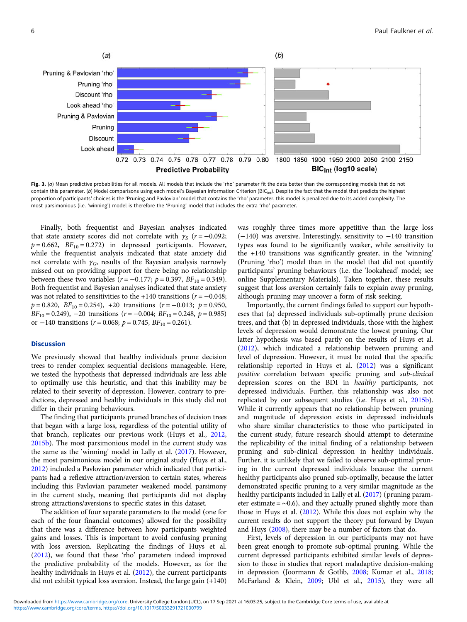<span id="page-5-0"></span>

Fig. 3. (a) Mean predictive probabilities for all models. All models that include the 'rho' parameter fit the data better than the corresponding models that do not contain this parameter. (b) Model comparisons using each model's Bayesian Information Criterion (BIC<sub>int</sub>). Despite the fact that the model that predicts the highest proportion of participants' choices is the 'Pruning and Pavlovian' model that contains the 'rho' parameter, this model is penalized due to its added complexity. The most parsimonious (i.e. 'winning') model is therefore the 'Pruning' model that includes the extra 'rho' parameter.

Finally, both frequentist and Bayesian analyses indicated that state anxiety scores did not correlate with  $\gamma_s$  (r = −0.092;  $p = 0.662$ ,  $BF_{10} = 0.272$ ) in depressed participants. However, while the frequentist analysis indicated that state anxiety did not correlate with  $\gamma_G$ , results of the Bayesian analysis narrowly missed out on providing support for there being no relationship between these two variables ( $r = -0.177$ ;  $p = 0.397$ ,  $BF_{10} = 0.349$ ). Both frequentist and Bayesian analyses indicated that state anxiety was not related to sensitivities to the +140 transitions ( $r = -0.048$ ;  $p = 0.820$ ,  $BF_{10} = 0.254$ ), +20 transitions ( $r = -0.013$ ;  $p = 0.950$ ,  $BF_{10} = 0.249$ ,  $-20$  transitions ( $r = -0.004$ ;  $BF_{10} = 0.248$ ,  $p = 0.985$ ) or −140 transitions ( $r = 0.068$ ;  $p = 0.745$ ,  $BF_{10} = 0.261$ ).

## Discussion

We previously showed that healthy individuals prune decision trees to render complex sequential decisions manageable. Here, we tested the hypothesis that depressed individuals are less able to optimally use this heuristic, and that this inability may be related to their severity of depression. However, contrary to predictions, depressed and healthy individuals in this study did not differ in their pruning behaviours.

The finding that participants pruned branches of decision trees that began with a large loss, regardless of the potential utility of that branch, replicates our previous work (Huys et al., [2012](#page-8-0), [2015b\)](#page-8-0). The most parsimonious model in the current study was the same as the 'winning' model in Lally et al. ([2017\)](#page-8-0). However, the most parsimonious model in our original study (Huys et al., [2012\)](#page-8-0) included a Pavlovian parameter which indicated that participants had a reflexive attraction/aversion to certain states, whereas including this Pavlovian parameter weakened model parsimony in the current study, meaning that participants did not display strong attractions/aversions to specific states in this dataset.

The addition of four separate parameters to the model (one for each of the four financial outcomes) allowed for the possibility that there was a difference between how participants weighted gains and losses. This is important to avoid confusing pruning with loss aversion. Replicating the findings of Huys et al. ([2012](#page-8-0)), we found that these 'rho' parameters indeed improved the predictive probability of the models. However, as for the healthy individuals in Huys et al. ([2012\)](#page-8-0), the current participants did not exhibit typical loss aversion. Instead, the large gain (+140)

was roughly three times more appetitive than the large loss (−140) was aversive. Interestingly, sensitivity to −140 transition types was found to be significantly weaker, while sensitivity to the +140 transitions was significantly greater, in the 'winning' (Pruning 'rho') model than in the model that did not quantify participants' pruning behaviours (i.e. the 'lookahead' model; see online Supplementary Materials). Taken together, these results suggest that loss aversion certainly fails to explain away pruning, although pruning may uncover a form of risk seeking.

Importantly, the current findings failed to support our hypotheses that (a) depressed individuals sub-optimally prune decision trees, and that (b) in depressed individuals, those with the highest levels of depression would demonstrate the lowest pruning. Our latter hypothesis was based partly on the results of Huys et al. ([2012\)](#page-8-0), which indicated a relationship between pruning and level of depression. However, it must be noted that the specific relationship reported in Huys et al. [\(2012](#page-8-0)) was a significant positive correlation between specific pruning and sub-clinical depression scores on the BDI in healthy participants, not depressed individuals. Further, this relationship was also not replicated by our subsequent studies (i.e. Huys et al., [2015b](#page-8-0)). While it currently appears that no relationship between pruning and magnitude of depression exists in depressed individuals who share similar characteristics to those who participated in the current study, future research should attempt to determine the replicability of the initial finding of a relationship between pruning and sub-clinical depression in healthy individuals. Further, it is unlikely that we failed to observe sub-optimal pruning in the current depressed individuals because the current healthy participants also pruned sub-optimally, because the latter demonstrated specific pruning to a very similar magnitude as the healthy participants included in Lally et al. [\(2017\)](#page-8-0) (pruning parameter estimate =  $~\sim 0.6$ ), and they actually pruned slightly more than those in Huys et al. ([2012\)](#page-8-0). While this does not explain why the current results do not support the theory put forward by Dayan and Huys [\(2008](#page-8-0)), there may be a number of factors that do.

First, levels of depression in our participants may not have been great enough to promote sub-optimal pruning. While the current depressed participants exhibited similar levels of depression to those in studies that report maladaptive decision-making in depression (Joormann & Gotlib, [2008](#page-8-0); Kumar et al., [2018;](#page-8-0) McFarland & Klein, [2009](#page-8-0); Ubl et al., [2015\)](#page-8-0), they were all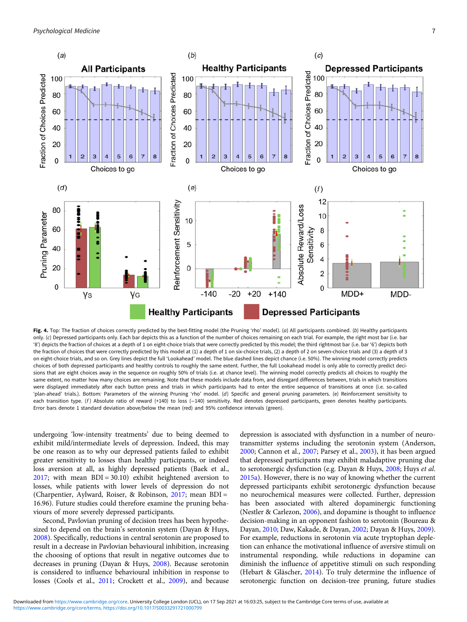<span id="page-6-0"></span>

Fig. 4. Top: The fraction of choices correctly predicted by the best-fitting model (the Pruning 'rho' model). (a) All participants combined. (b) Healthy participants only. (c) Depressed participants only. Each bar depicts this as a function of the number of choices remaining on each trial. For example, the right most bar (i.e. bar '8') depicts the fraction of choices at a depth of 1 on eight-choice trials that were correctly predicted by this model; the third rightmost bar (i.e. bar '6') depicts both the fraction of choices that were correctly predicted by this model at (1) a depth of 1 on six-choice trials, (2) a depth of 2 on seven-choice trials and (3) a depth of 3 on eight-choice trials, and so on. Grey lines depict the full 'Lookahead' model. The blue dashed lines depict chance (i.e. 50%). The winning model correctly predicts choices of both depressed participants and healthy controls to roughly the same extent. Further, the full Lookahead model is only able to correctly predict decisions that are eight choices away in the sequence on roughly 50% of trials (i.e. at chance level). The winning model correctly predicts all choices to roughly the same extent, no matter how many choices are remaining. Note that these models include data from, and disregard differences between, trials in which transitions were displayed immediately after each button press and trials in which participants had to enter the entire sequence of transitions at once (i.e. so-called 'plan-ahead' trials.). Bottom: Parameters of the winning Pruning 'rho' model. (d) Specific and general pruning parameters. (e) Reinforcement sensitivity to each transition type. (f) Absolute ratio of reward (+140) to loss (-140) sensitivity. Red denotes depressed participants, green denotes healthy participants. Error bars denote 1 standard deviation above/below the mean (red) and 95% confidence intervals (green).

undergoing 'low-intensity treatments' due to being deemed to exhibit mild/intermediate levels of depression. Indeed, this may be one reason as to why our depressed patients failed to exhibit greater sensitivity to losses than healthy participants, or indeed loss aversion at all, as highly depressed patients (Baek et al., [2017;](#page-7-0) with mean BDI = 30.10) exhibit heightened aversion to losses, while patients with lower levels of depression do not (Charpentier, Aylward, Roiser, & Robinson, [2017](#page-7-0); mean BDI = 16.96). Future studies could therefore examine the pruning behaviours of more severely depressed participants.

Second, Pavlovian pruning of decision trees has been hypothesized to depend on the brain's serotonin system (Dayan & Huys, [2008\)](#page-8-0). Specifically, reductions in central serotonin are proposed to result in a decrease in Pavlovian behavioural inhibition, increasing the choosing of options that result in negative outcomes due to decreases in pruning (Dayan & Huys, [2008](#page-8-0)). Because serotonin is considered to influence behavioural inhibition in response to losses (Cools et al., [2011;](#page-8-0) Crockett et al., [2009](#page-8-0)), and because depression is associated with dysfunction in a number of neurotransmitter systems including the serotonin system (Anderson, [2000](#page-7-0); Cannon et al., [2007](#page-7-0); Parsey et al., [2003](#page-8-0)), it has been argued that depressed participants may exhibit maladaptive pruning due to serotonergic dysfunction (e.g. Dayan & Huys, [2008](#page-8-0); Huys et al. [2015a\)](#page-8-0). However, there is no way of knowing whether the current depressed participants exhibit serotonergic dysfunction because no neurochemical measures were collected. Further, depression has been associated with altered dopaminergic functioning (Nestler & Carlezon, [2006\)](#page-8-0), and dopamine is thought to influence decision-making in an opponent fashion to serotonin (Boureau & Dayan, [2010](#page-7-0); Daw, Kakade, & Dayan, [2002;](#page-8-0) Dayan & Huys, [2009](#page-8-0)). For example, reductions in serotonin via acute tryptophan depletion can enhance the motivational influence of aversive stimuli on instrumental responding, while reductions in dopamine can diminish the influence of appetitive stimuli on such responding (Hebart & Gläscher, [2014](#page-8-0)). To truly determine the influence of serotonergic function on decision-tree pruning, future studies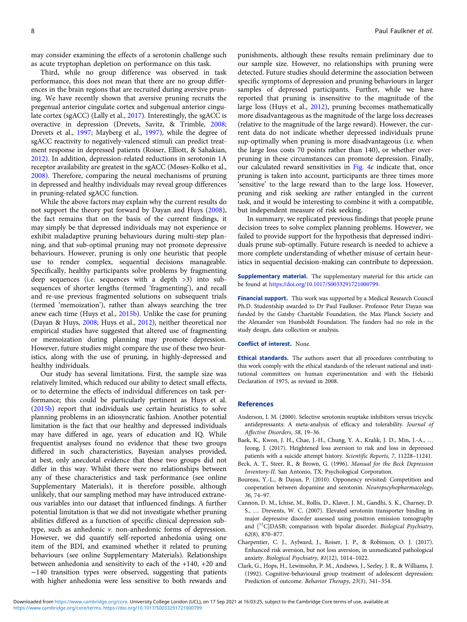<span id="page-7-0"></span>may consider examining the effects of a serotonin challenge such as acute tryptophan depletion on performance on this task.

Third, while no group difference was observed in task performance, this does not mean that there are no group differences in the brain regions that are recruited during aversive pruning. We have recently shown that aversive pruning recruits the pregenual anterior cingulate cortex and subgenual anterior cingulate cortex (sgACC) (Lally et al., [2017\)](#page-8-0). Interestingly, the sgACC is overactive in depression (Drevets, Savitz, & Trimble, [2008](#page-8-0); Drevets et al., [1997](#page-8-0); Mayberg et al., [1997](#page-8-0)), while the degree of sgACC reactivity to negatively-valenced stimuli can predict treatment response in depressed patients (Roiser, Elliott, & Sahakian, [2012\)](#page-8-0). In addition, depression-related reductions in serotonin 1A receptor availability are greatest in the sgACC (Moses-Kolko et al., [2008\)](#page-8-0). Therefore, comparing the neural mechanisms of pruning in depressed and healthy individuals may reveal group differences in pruning-related sgACC function.

While the above factors may explain why the current results do not support the theory put forward by Dayan and Huys ([2008\)](#page-8-0), the fact remains that on the basis of the current findings, it may simply be that depressed individuals may not experience or exhibit maladaptive pruning behaviours during multi-step planning, and that sub-optimal pruning may not promote depressive behaviours. However, pruning is only one heuristic that people use to render complex, sequential decisions manageable. Specifically, healthy participants solve problems by fragmenting deep sequences (i.e. sequences with a depth >3) into subsequences of shorter lengths (termed 'fragmenting'), and recall and re-use previous fragmented solutions on subsequent trials (termed 'memoization'), rather than always searching the tree anew each time (Huys et al., [2015b\)](#page-8-0). Unlike the case for pruning (Dayan & Huys, [2008;](#page-8-0) Huys et al., [2012](#page-8-0)), neither theoretical nor empirical studies have suggested that altered use of fragmenting or memoization during planning may promote depression. However, future studies might compare the use of these two heuristics, along with the use of pruning, in highly-depressed and healthy individuals.

Our study has several limitations. First, the sample size was relatively limited, which reduced our ability to detect small effects, or to determine the effects of individual differences on task performance; this could be particularly pertinent as Huys et al. ([2015b\)](#page-8-0) report that individuals use certain heuristics to solve planning problems in an idiosyncratic fashion. Another potential limitation is the fact that our healthy and depressed individuals may have differed in age, years of education and IQ. While frequentist analyses found no evidence that these two groups differed in such characteristics, Bayesian analyses provided, at best, only anecdotal evidence that these two groups did not differ in this way. Whilst there were no relationships between any of these characteristics and task performance (see online Supplementary Materials), it is therefore possible, although unlikely, that our sampling method may have introduced extraneous variables into our dataset that influenced findings. A further potential limitation is that we did not investigate whether pruning abilities differed as a function of specific clinical depression subtype, such as anhedonic v. non-anhedonic forms of depression. However, we did quantify self-reported anhedonia using one item of the BDI, and examined whether it related to pruning behaviours (see online Supplementary Materials). Relationships between anhedonia and sensitivity to each of the +140, +20 and −140 transition types were observed, suggesting that patients with higher anhedonia were less sensitive to both rewards and

punishments, although these results remain preliminary due to our sample size. However, no relationships with pruning were detected. Future studies should determine the association between specific symptoms of depression and pruning behaviours in larger samples of depressed participants. Further, while we have reported that pruning is insensitive to the magnitude of the large loss (Huys et al., [2012](#page-8-0)), pruning becomes mathematically more disadvantageous as the magnitude of the large loss decreases (relative to the magnitude of the large reward). However, the current data do not indicate whether depressed individuals prune sup-optimally when pruning is more disadvantageous (i.e. when the large loss costs 70 points rather than 140), or whether overpruning in these circumstances can promote depression. Finally, our calculated reward sensitivities in [Fig. 4](#page-6-0)e indicate that, once pruning is taken into account, participants are three times more 'sensitive' to the large reward than to the large loss. However, pruning and risk seeking are rather entangled in the current task, and it would be interesting to combine it with a compatible, but independent measure of risk seeking.

In summary, we replicated previous findings that people prune decision trees to solve complex planning problems. However, we failed to provide support for the hypothesis that depressed individuals prune sub-optimally. Future research is needed to achieve a more complete understanding of whether misuse of certain heuristics in sequential decision-making can contribute to depression.

Supplementary material. The supplementary material for this article can be found at [https://doi.org/10.1017/S0033291721000799.](https://doi.org/10.1017/S0033291721000799)

Financial support. This work was supported by a Medical Research Council Ph.D. Studentship awarded to Dr Paul Faulkner. Professor Peter Dayan was funded by the Gatsby Charitable Foundation, the Max Planck Society and the Alexander von Humboldt Foundation. The funders had no role in the study design, data collection or analysis.

#### Conflict of interest. None.

Ethical standards. The authors assert that all procedures contributing to this work comply with the ethical standards of the relevant national and institutional committees on human experimentation and with the Helsinki Declaration of 1975, as revised in 2008.

#### References

- Anderson, I. M. (2000). Selective serotonin reuptake inhibitors versus tricyclic antidepressants: A meta-analysis of efficacy and tolerability. Journal of Affective Disorders, 58, 19–36.
- Baek, K., Kwon, J. H., Chae, J.-H., Chung, Y. A., Kralik, J. D., Min, J.-A., … Jeong, J. (2017). Heightened loss aversion to risk and loss in depressed patients with a suicide attempt history. Scientific Reports, 7, 11228–11241.
- Beck, A. T., Steer, R., & Brown, G. (1996). Manual for the Beck Depression Inventory-II. San Antonio, TX: Psychological Corporation.
- Boureau, Y.-L., & Dayan, P. (2010). Opponency revisited: Competition and cooperation between dopamine and serotonin. Neuropscyhopharmacology, 36, 74–97.
- Cannon, D. M., Ichise, M., Rollis, D., Klaver, J. M., Gandhi, S. K., Charney, D. S., … Drevents, W. C. (2007). Elevated serotonin transporter binding in major depressive disorder assessed using positron emission tomography and  $\int_1^{11}$ C]DASB; comparison with bipolar disorder. Biological Psychiatry, 62(8), 870–877.
- Charpentier, C. J., Aylward, J., Roiser, J. P., & Robinson, O. J. (2017). Enhanced risk aversion, but not loss aversion, in unmedicated pathological anxiety. Biological Psychiatry, 81(12), 1014–1022.
- Clark, G., Hops, H., Lewinsohn, P. M., Andrews, J., Seeley, J. R., & Williams, J. (1992). Cognitive-behavioural group treatment of adolescent depression: Prediction of outcome. Behavior Therapy, 23(3), 341–354.